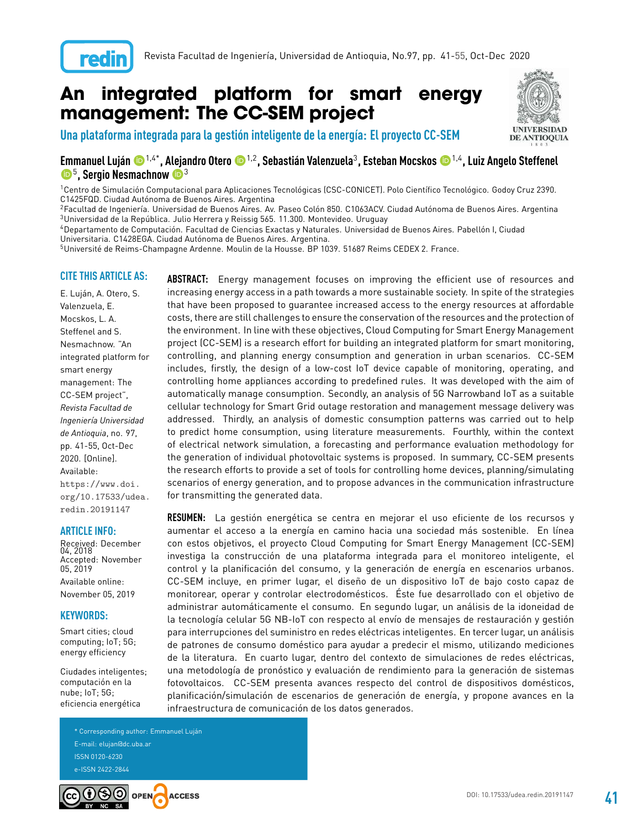

# **An integrated platform for smart energy** management: The CC-SEM project

**Una plataforma integrada para la gestión inteligente de la energía: El proyecto CC-SEM**



### **Emmanuel Luján** 1,4\***, Alejandro Otero** 1,2**, Sebastián Valenzuela**<sup>3</sup> **, Esteban Mocskos** 1,4**, Luiz Angelo Steffenel D**<sup>5</sup>, Sergio Nesmachnow D<sup>3</sup>

<sup>1</sup>Centro de Simulación Computacional para Aplicaciones Tecnológicas (CSC-CONICET). Polo Científico Tecnológico. Godoy Cruz 2390. C1425FQD. Ciudad Autónoma de Buenos Aires. Argentina

<sup>2</sup>Facultad de Ingeniería. Universidad de Buenos Aires. Av. Paseo Colón 850. C1063ACV. Ciudad Autónoma de Buenos Aires. Argentina <sup>3</sup>Universidad de la República. Julio Herrera y Reissig 565. 11.300. Montevideo. Uruguay

<sup>4</sup>Departamento de Computación. Facultad de Ciencias Exactas y Naturales. Universidad de Buenos Aires. Pabellón I, Ciudad

Universitaria. C1428EGA. Ciudad Autónoma de Buenos Aires. Argentina.

<sup>5</sup>Université de Reims-Champagne Ardenne. Moulin de la Housse. BP 1039. 51687 Reims CEDEX 2. France.

#### **CITE THIS ARTICLE AS:**

E. Luján, A. Otero, S. Valenzuela, E. Mocskos, L. A. Steffenel and S. Nesmachnow. "An integrated platform for smart energy management: The CC-SEM project", *Revista Facultad de Ingeniería Universidad de Antioquia*, no. 97, pp. 41-55, Oct-Dec 2020. [Online]. Available: [https://www.doi.](https://www.doi.org/10.17533/udea.redin.20191147) [org/10.17533/udea.](https://www.doi.org/10.17533/udea.redin.20191147) [redin.20191147](https://www.doi.org/10.17533/udea.redin.20191147)

#### **ARTICLE INFO:**

Received: December 04, 2018 Accepted: November 05, 2019 Available online:

November 05, 2019

#### **KEYWORDS:**

Smart cities; cloud computing; IoT; 5G; energy efficiency

Ciudades inteligentes; computación en la nube; IoT; 5G; eficiencia energética

**ABSTRACT:** Energy management focuses on improving the efficient use of resources and increasing energy access in a path towards a more sustainable society. In spite of the strategies that have been proposed to guarantee increased access to the energy resources at affordable costs, there are still challenges to ensure the conservation of the resources and the protection of the environment. In line with these objectives, Cloud Computing for Smart Energy Management project (CC-SEM) is a research effort for building an integrated platform for smart monitoring, controlling, and planning energy consumption and generation in urban scenarios. CC-SEM includes, firstly, the design of a low-cost IoT device capable of monitoring, operating, and controlling home appliances according to predefined rules. It was developed with the aim of automatically manage consumption. Secondly, an analysis of 5G Narrowband IoT as a suitable cellular technology for Smart Grid outage restoration and management message delivery was addressed. Thirdly, an analysis of domestic consumption patterns was carried out to help to predict home consumption, using literature measurements. Fourthly, within the context of electrical network simulation, a forecasting and performance evaluation methodology for the generation of individual photovoltaic systems is proposed. In summary, CC-SEM presents the research efforts to provide a set of tools for controlling home devices, planning/simulating scenarios of energy generation, and to propose advances in the communication infrastructure for transmitting the generated data.

**RESUMEN:** La gestión energética se centra en mejorar el uso eficiente de los recursos y aumentar el acceso a la energía en camino hacia una sociedad más sostenible. En línea con estos objetivos, el proyecto Cloud Computing for Smart Energy Management (CC-SEM) investiga la construcción de una plataforma integrada para el monitoreo inteligente, el control y la planificación del consumo, y la generación de energía en escenarios urbanos. CC-SEM incluye, en primer lugar, el diseño de un dispositivo IoT de bajo costo capaz de monitorear, operar y controlar electrodomésticos. Éste fue desarrollado con el objetivo de administrar automáticamente el consumo. En segundo lugar, un análisis de la idoneidad de la tecnología celular 5G NB-IoT con respecto al envío de mensajes de restauración y gestión para interrupciones del suministro en redes eléctricas inteligentes. En tercer lugar, un análisis de patrones de consumo doméstico para ayudar a predecir el mismo, utilizando mediciones de la literatura. En cuarto lugar, dentro del contexto de simulaciones de redes eléctricas, una metodología de pronóstico y evaluación de rendimiento para la generación de sistemas fotovoltaicos. CC-SEM presenta avances respecto del control de dispositivos domésticos, planificación/simulación de escenarios de generación de energía, y propone avances en la infraestructura de comunicación de los datos generados.

\* Corresponding author: Emmanuel Luján E-mail: elujan@dc.uba.ar ISSN 0120-6230 e-ISSN 2422-2844

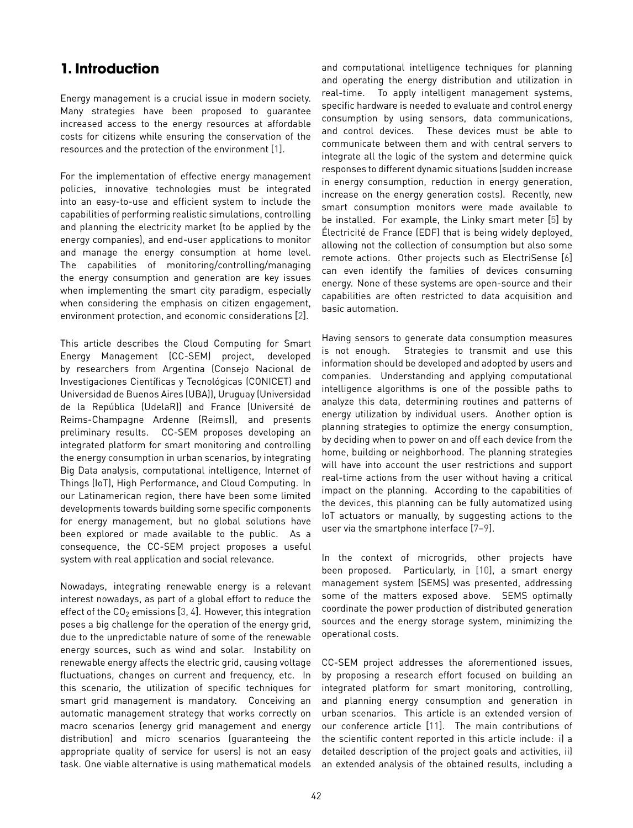### **1. Introduction**

Energy management is a crucial issue in modern society. Many strategies have been proposed to guarantee increased access to the energy resources at affordable costs for citizens while ensuring the conservation of the resources and the protection of the environment[[1\]](#page-13-0).

For the implementation of effective energy management policies, innovative technologies must be integrated into an easy-to-use and efficient system to include the capabilities of performing realistic simulations, controlling and planning the electricity market (to be applied by the energy companies), and end-user applications to monitor and manage the energy consumption at home level. The capabilities of monitoring/controlling/managing the energy consumption and generation are key issues when implementing the smart city paradigm, especially when considering the emphasis on citizen engagement, environment protection, and economic considerations [\[2](#page-13-1)].

This article describes the Cloud Computing for Smart Energy Management (CC-SEM) project, developed by researchers from Argentina (Consejo Nacional de Investigaciones Científicas y Tecnológicas (CONICET) and Universidad de Buenos Aires (UBA)), Uruguay (Universidad de la República (UdelaR)) and France (Université de Reims-Champagne Ardenne (Reims)), and presents preliminary results. CC-SEM proposes developing an integrated platform for smart monitoring and controlling the energy consumption in urban scenarios, by integrating Big Data analysis, computational intelligence, Internet of Things (IoT), High Performance, and Cloud Computing. In our Latinamerican region, there have been some limited developments towards building some specific components for energy management, but no global solutions have been explored or made available to the public. As a consequence, the CC-SEM project proposes a useful system with real application and social relevance.

Nowadays, integrating renewable energy is a relevant interest nowadays, as part of a global effort to reduce the effect of the  $CO<sub>2</sub>$  emissions [\[3,](#page-13-2) [4](#page-13-3)]. However, this integration poses a big challenge for the operation of the energy grid, due to the unpredictable nature of some of the renewable energy sources, such as wind and solar. Instability on renewable energy affects the electric grid, causing voltage fluctuations, changes on current and frequency, etc. In this scenario, the utilization of specific techniques for smart grid management is mandatory. Conceiving an automatic management strategy that works correctly on macro scenarios (energy grid management and energy distribution) and micro scenarios (guaranteeing the appropriate quality of service for users) is not an easy task. One viable alternative is using mathematical models

and computational intelligence techniques for planning and operating the energy distribution and utilization in real-time. To apply intelligent management systems, specific hardware is needed to evaluate and control energy consumption by using sensors, data communications, and control devices. These devices must be able to communicate between them and with central servers to integrate all the logic of the system and determine quick responses to different dynamic situations (sudden increase in energy consumption, reduction in energy generation, increase on the energy generation costs). Recently, new smart consumption monitors were made available to be installed. For example, the Linky smart meter [\[5](#page-13-4)] by Électricité de France (EDF) that is being widely deployed, allowing not the collection of consumption but also some remote actions. Other projects such as ElectriSense[[6\]](#page-13-5) can even identify the families of devices consuming energy. None of these systems are open-source and their capabilities are often restricted to data acquisition and basic automation.

Having sensors to generate data consumption measures is not enough. Strategies to transmit and use this information should be developed and adopted by users and companies. Understanding and applying computational intelligence algorithms is one of the possible paths to analyze this data, determining routines and patterns of energy utilization by individual users. Another option is planning strategies to optimize the energy consumption, by deciding when to power on and off each device from the home, building or neighborhood. The planning strategies will have into account the user restrictions and support real-time actions from the user without having a critical impact on the planning. According to the capabilities of the devices, this planning can be fully automatized using IoT actuators or manually, by suggesting actions to the user via the smartphone interface[[7](#page-14-1)[–9](#page-14-2)].

In the context of microgrids, other projects have been proposed. Particularly, in[[10](#page-14-3)], a smart energy management system (SEMS) was presented, addressing some of the matters exposed above. SEMS optimally coordinate the power production of distributed generation sources and the energy storage system, minimizing the operational costs.

CC-SEM project addresses the aforementioned issues, by proposing a research effort focused on building an integrated platform for smart monitoring, controlling, and planning energy consumption and generation in urban scenarios. This article is an extended version of our conference article[[11](#page-14-4)]. The main contributions of the scientific content reported in this article include: i) a detailed description of the project goals and activities, ii) an extended analysis of the obtained results, including a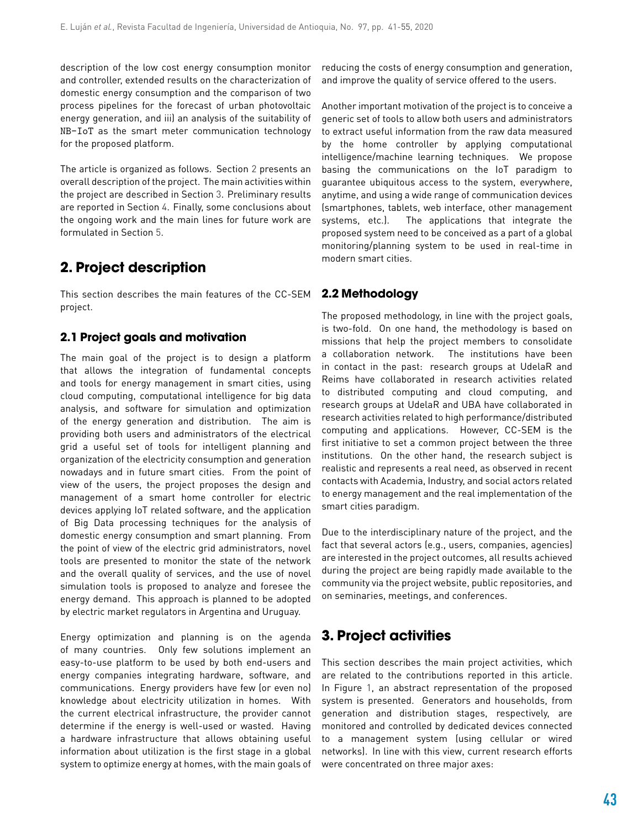description of the low cost energy consumption monitor and controller, extended results on the characterization of domestic energy consumption and the comparison of two process pipelines for the forecast of urban photovoltaic energy generation, and iii) an analysis of the suitability of NB-IoT as the smart meter communication technology for the proposed platform.

The article is organized as follows. Section [2](#page-2-0) presents an overall description of the project. The main activities within the project are described in Section [3](#page-2-1). Preliminary results are reported in Section [4](#page-3-0). Finally, some conclusions about the ongoing work and the main lines for future work are formulated in Section [5](#page-12-0).

## <span id="page-2-0"></span>**2. Project description**

This section describes the main features of the CC-SEM project.

#### **2.1 Project goals and motivation**

The main goal of the project is to design a platform that allows the integration of fundamental concepts and tools for energy management in smart cities, using cloud computing, computational intelligence for big data analysis, and software for simulation and optimization of the energy generation and distribution. The aim is providing both users and administrators of the electrical grid a useful set of tools for intelligent planning and organization of the electricity consumption and generation nowadays and in future smart cities. From the point of view of the users, the project proposes the design and management of a smart home controller for electric devices applying IoT related software, and the application of Big Data processing techniques for the analysis of domestic energy consumption and smart planning. From the point of view of the electric grid administrators, novel tools are presented to monitor the state of the network and the overall quality of services, and the use of novel simulation tools is proposed to analyze and foresee the energy demand. This approach is planned to be adopted by electric market regulators in Argentina and Uruguay.

Energy optimization and planning is on the agenda of many countries. Only few solutions implement an easy-to-use platform to be used by both end-users and energy companies integrating hardware, software, and communications. Energy providers have few (or even no) knowledge about electricity utilization in homes. With the current electrical infrastructure, the provider cannot determine if the energy is well-used or wasted. Having a hardware infrastructure that allows obtaining useful information about utilization is the first stage in a global system to optimize energy at homes, with the main goals of

reducing the costs of energy consumption and generation, and improve the quality of service offered to the users.

Another important motivation of the project is to conceive a generic set of tools to allow both users and administrators to extract useful information from the raw data measured by the home controller by applying computational intelligence/machine learning techniques. We propose basing the communications on the IoT paradigm to guarantee ubiquitous access to the system, everywhere, anytime, and using a wide range of communication devices (smartphones, tablets, web interface, other management systems, etc.). The applications that integrate the proposed system need to be conceived as a part of a global monitoring/planning system to be used in real-time in modern smart cities.

### **2.2 Methodology**

The proposed methodology, in line with the project goals, is two-fold. On one hand, the methodology is based on missions that help the project members to consolidate a collaboration network. The institutions have been in contact in the past: research groups at UdelaR and Reims have collaborated in research activities related to distributed computing and cloud computing, and research groups at UdelaR and UBA have collaborated in research activities related to high performance/distributed computing and applications. However, CC-SEM is the first initiative to set a common project between the three institutions. On the other hand, the research subject is realistic and represents a real need, as observed in recent contacts with Academia, Industry, and social actors related to energy management and the real implementation of the smart cities paradigm.

Due to the interdisciplinary nature of the project, and the fact that several actors (e.g., users, companies, agencies) are interested in the project outcomes, all results achieved during the project are being rapidly made available to the community via the project website, public repositories, and on seminaries, meetings, and conferences.

## <span id="page-2-1"></span>**3. Project activities**

This section describes the main project activities, which are related to the contributions reported in this article. In Figure [1,](#page-3-1) an abstract representation of the proposed system is presented. Generators and households, from generation and distribution stages, respectively, are monitored and controlled by dedicated devices connected to a management system (using cellular or wired networks). In line with this view, current research efforts were concentrated on three major axes: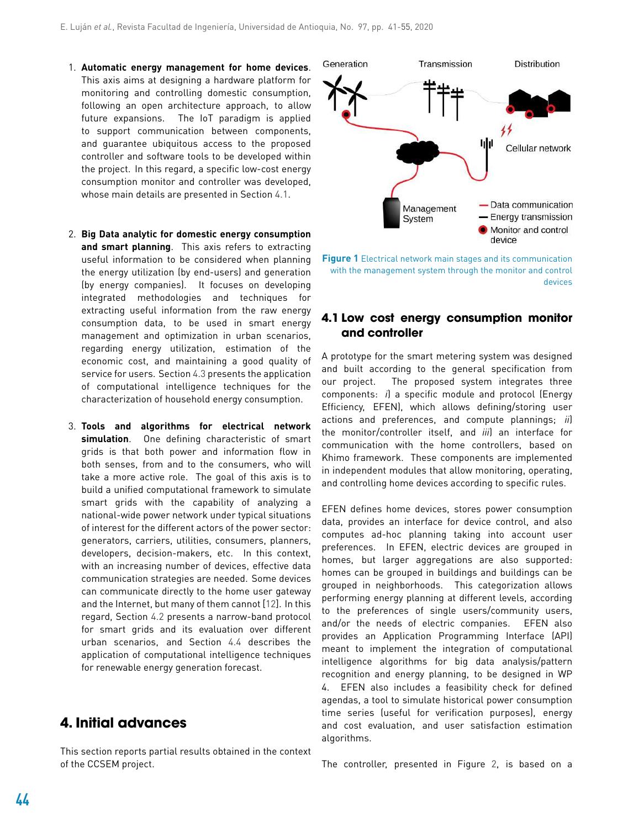- 1. **Automatic energy management for home devices**. This axis aims at designing a hardware platform for monitoring and controlling domestic consumption, following an open architecture approach, to allow future expansions. The IoT paradigm is applied to support communication between components, and guarantee ubiquitous access to the proposed controller and software tools to be developed within the project. In this regard, a specific low-cost energy consumption monitor and controller was developed, whose main details are presented in Section [4.1.](#page-3-2)
- 2. **Big Data analytic for domestic energy consumption and smart planning**. This axis refers to extracting useful information to be considered when planning the energy utilization (by end-users) and generation (by energy companies). It focuses on developing integrated methodologies and techniques for extracting useful information from the raw energy consumption data, to be used in smart energy management and optimization in urban scenarios, regarding energy utilization, estimation of the economic cost, and maintaining a good quality of service for users. Section [4.3](#page-6-0) presents the application of computational intelligence techniques for the characterization of household energy consumption.
- 3. **Tools and algorithms for electrical network simulation**. One defining characteristic of smart grids is that both power and information flow in both senses, from and to the consumers, who will take a more active role. The goal of this axis is to build a unified computational framework to simulate smart grids with the capability of analyzing a national-wide power network under typical situations of interest for the different actors of the power sector: generators, carriers, utilities, consumers, planners, developers, decision-makers, etc. In this context, with an increasing number of devices, effective data communication strategies are needed. Some devices can communicate directly to the home user gateway and the Internet, but many of them cannot[[12\]](#page-14-5). In this regard, Section [4.2](#page-4-0) presents a narrow-band protocol for smart grids and its evaluation over different urban scenarios, and Section [4.4](#page-9-0) describes the application of computational intelligence techniques for renewable energy generation forecast.

## <span id="page-3-0"></span>**4. Initial advances**

<span id="page-3-2"></span>This section reports partial results obtained in the context of the CCSEM project.

<span id="page-3-1"></span>

**Figure 1** Electrical network main stages and its communication with the management system through the monitor and control devices

#### **4.1 Low cost energy consumption monitor and controller**

A prototype for the smart metering system was designed and built according to the general specification from our project. The proposed system integrates three components: *i*) a specific module and protocol (Energy Efficiency, EFEN), which allows defining/storing user actions and preferences, and compute plannings; *ii*) the monitor/controller itself, and *iii*) an interface for communication with the home controllers, based on Khimo framework. These components are implemented in independent modules that allow monitoring, operating, and controlling home devices according to specific rules.

EFEN defines home devices, stores power consumption data, provides an interface for device control, and also computes ad-hoc planning taking into account user preferences. In EFEN, electric devices are grouped in homes, but larger aggregations are also supported: homes can be grouped in buildings and buildings can be grouped in neighborhoods. This categorization allows performing energy planning at different levels, according to the preferences of single users/community users, and/or the needs of electric companies. EFEN also provides an Application Programming Interface (API) meant to implement the integration of computational intelligence algorithms for big data analysis/pattern recognition and energy planning, to be designed in WP 4. EFEN also includes a feasibility check for defined agendas, a tool to simulate historical power consumption time series (useful for verification purposes), energy and cost evaluation, and user satisfaction estimation algorithms.

The controller, presented in Figure [2](#page-4-1), is based on a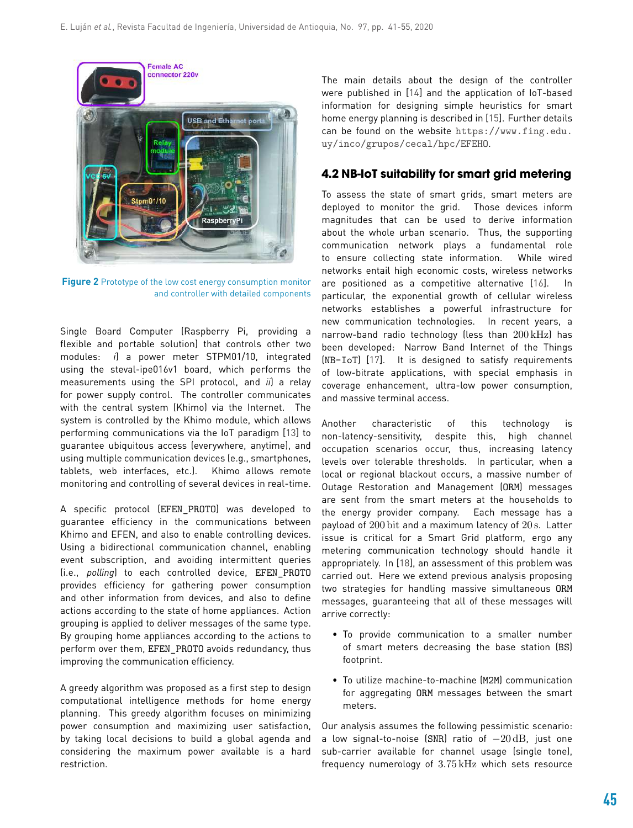<span id="page-4-1"></span>

**Figure 2** Prototype of the low cost energy consumption monitor and controller with detailed components

Single Board Computer (Raspberry Pi, providing a flexible and portable solution) that controls other two modules: *i*) a power meter STPM01/10, integrated using the steval-ipe016v1 board, which performs the measurements using the SPI protocol, and *ii*) a relay for power supply control. The controller communicates with the central system (Khimo) via the Internet. The system is controlled by the Khimo module, which allows performing communications via the IoT paradigm[[13\]](#page-14-6) to guarantee ubiquitous access (everywhere, anytime), and using multiple communication devices (e.g., smartphones, tablets, web interfaces, etc.). Khimo allows remote monitoring and controlling of several devices in real-time.

A specific protocol (EFEN\_PROTO) was developed to guarantee efficiency in the communications between Khimo and EFEN, and also to enable controlling devices. Using a bidirectional communication channel, enabling event subscription, and avoiding intermittent queries (i.e., *polling*) to each controlled device, EFEN\_PROTO provides efficiency for gathering power consumption and other information from devices, and also to define actions according to the state of home appliances. Action grouping is applied to deliver messages of the same type. By grouping home appliances according to the actions to perform over them, EFEN\_PROTO avoids redundancy, thus improving the communication efficiency.

A greedy algorithm was proposed as a first step to design computational intelligence methods for home energy planning. This greedy algorithm focuses on minimizing power consumption and maximizing user satisfaction, by taking local decisions to build a global agenda and considering the maximum power available is a hard restriction.

The main details about the design of the controller were published in[[14](#page-14-7)] and the application of IoT-based information for designing simple heuristics for smart home energy planning is described in[[15](#page-14-8)]. Further details can be found on the website [https://www.fing.edu.](https://www.fing.edu.uy/inco/grupos/cecal/hpc/EFEHO) [uy/inco/grupos/cecal/hpc/EFEHO](https://www.fing.edu.uy/inco/grupos/cecal/hpc/EFEHO).

### <span id="page-4-0"></span>**4.2 NBIoT suitability for smart grid metering**

To assess the state of smart grids, smart meters are deployed to monitor the grid. Those devices inform magnitudes that can be used to derive information about the whole urban scenario. Thus, the supporting communication network plays a fundamental role to ensure collecting state information. While wired networks entail high economic costs, wireless networks arepositioned as a competitive alternative [[16](#page-14-9)]. particular, the exponential growth of cellular wireless networks establishes a powerful infrastructure for new communication technologies. In recent years, a narrow-band radio technology (less than  $200 \mathrm{kHz}$ ) has been developed: Narrow Band Internet of the Things (NB-IoT) [\[17](#page-14-10)]. It is designed to satisfy requirements of low-bitrate applications, with special emphasis in coverage enhancement, ultra-low power consumption, and massive terminal access.

Another characteristic of this technology is non-latency-sensitivity, despite this, high channel occupation scenarios occur, thus, increasing latency levels over tolerable thresholds. In particular, when a local or regional blackout occurs, a massive number of Outage Restoration and Management (ORM) messages are sent from the smart meters at the households to the energy provider company. Each message has a payload of  $200$  bit and a maximum latency of  $20$  s. Latter issue is critical for a Smart Grid platform, ergo any metering communication technology should handle it appropriately. In[[18](#page-14-11)], an assessment of this problem was carried out. Here we extend previous analysis proposing two strategies for handling massive simultaneous ORM messages, guaranteeing that all of these messages will arrive correctly:

- To provide communication to a smaller number of smart meters decreasing the base station (BS) footprint.
- To utilize machine-to-machine (M2M) communication for aggregating ORM messages between the smart meters.

Our analysis assumes the following pessimistic scenario: a low signal-to-noise (SNR) ratio of *−*20 dB, just one sub-carrier available for channel usage (single tone), frequency numerology of 3*.*75 kHz which sets resource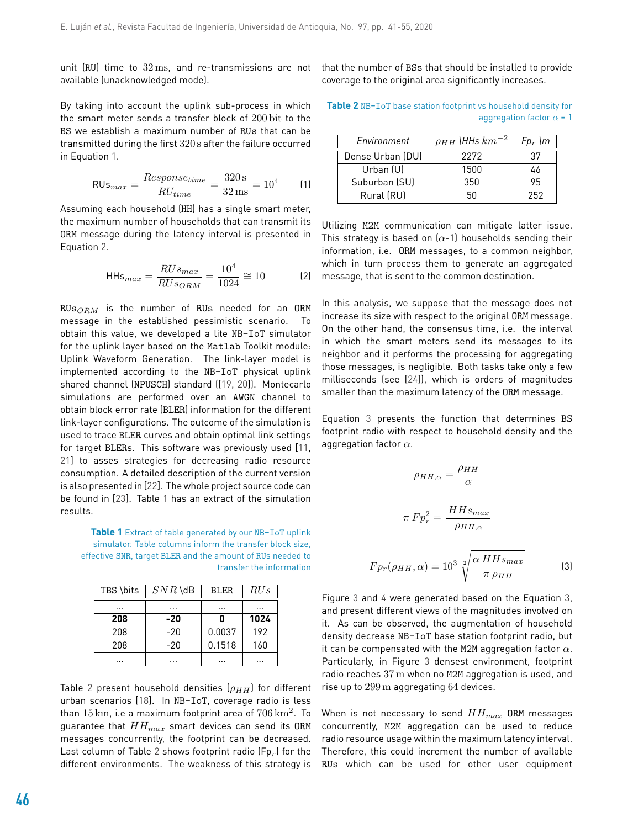unit (RU) time to  $32\,\rm ms$ , and re-transmissions are not  $\,$  that the number of BSs that should be installed to provide available (unacknowledged mode).

By taking into account the uplink sub-process in which the smart meter sends a transfer block of 200 bit to the BS we establish a maximum number of RUs that can be transmitted during the first 320 s after the failure occurred in Equation [1.](#page-5-0)

<span id="page-5-0"></span>
$$
\text{RUs}_{max} = \frac{Response_{time}}{RU_{time}} = \frac{320 \,\text{s}}{32 \,\text{ms}} = 10^4 \tag{1}
$$

Assuming each household (HH) has a single smart meter, the maximum number of households that can transmit its ORM message during the latency interval is presented in Equation [2.](#page-5-1)

<span id="page-5-1"></span>
$$
\text{HHS}_{max} = \frac{RUs_{max}}{RUs_{ORM}} = \frac{10^4}{1024} \cong 10 \tag{2}
$$

RUs*ORM* is the number of RUs needed for an ORM message in the established pessimistic scenario. To obtain this value, we developed a lite NB-IoT simulator for the uplink layer based on the Matlab Toolkit module: Uplink Waveform Generation. The link-layer model is implemented according to the NB-IoT physical uplink shared channel (NPUSCH) standard ([\[19,](#page-14-12) [20\]](#page-14-13)). Montecarlo simulations are performed over an AWGN channel to obtain block error rate (BLER) information for the different link-layer configurations. The outcome of the simulation is used to trace BLER curves and obtain optimal link settings for target BLERs. This software was previously used[[11](#page-14-4), [21](#page-14-14)] to asses strategies for decreasing radio resource consumption. A detailed description of the current version is also presented in [\[22\]](#page-14-15). The whole project source code can be found in[[23](#page-14-16)]. Table [1](#page-5-2) has an extract of the simulation results.

<span id="page-5-2"></span>**Table 1** Extract of table generated by our NB-IoT uplink simulator. Table columns inform the transfer block size, effective SNR, target BLER and the amount of RUs needed to transfer the information

| TBS \bits | $SNR \, \text{dB}$ | <b>BLER</b> | RUs  |
|-----------|--------------------|-------------|------|
|           | .                  | .           |      |
| 208       | -20                |             | 1024 |
| 208       | $-20$              | 0.0037      | 192  |
| 208       | $-20$              | 0.1518      | 160  |
| .         | .                  | .           | .    |

Table [2](#page-5-3) present household densities ( $ρ$ *HH*) for different urban scenarios [\[18](#page-14-11)]. In NB-IoT, coverage radio is less than  $15\,\mathrm{km}$ , i.e a maximum footprint area of  $706\,\mathrm{km^2}$ . To guarantee that *HHmax* smart devices can send its ORM messages concurrently, the footprint can be decreased. Last column of Table [2](#page-5-3) shows footprint radio (Fp*r*) for the different environments. The weakness of this strategy is coverage to the original area significantly increases.

<span id="page-5-3"></span>

|  |  |  | Table 2 NB-IoT base station footprint vs household density for |  |
|--|--|--|----------------------------------------------------------------|--|
|  |  |  | aggregation factor $\alpha$ = 1                                |  |

| Environment      | $\rho_{HH}$ \HHs $km^{-2}$ | $Fp_r\mid m$ |  |
|------------------|----------------------------|--------------|--|
| Dense Urban (DU) | 2272                       | 37           |  |
| Urban (U)        | 1500                       | 46           |  |
| Suburban (SU)    | 350                        | 95           |  |
| Rural (RU)       | БΛ                         | 252          |  |

Utilizing M2M communication can mitigate latter issue. This strategy is based on  $(\alpha - 1)$  households sending their information, i.e. ORM messages, to a common neighbor, which in turn process them to generate an aggregated message, that is sent to the common destination.

In this analysis, we suppose that the message does not increase its size with respect to the original ORM message. On the other hand, the consensus time, i.e. the interval in which the smart meters send its messages to its neighbor and it performs the processing for aggregating those messages, is negligible. Both tasks take only a few milliseconds (see[[24](#page-14-17)]), which is orders of magnitudes smaller than the maximum latency of the ORM message.

Equation [3](#page-5-4) presents the function that determines BS footprint radio with respect to household density and the aggregation factor *α*.

$$
\rho_{HH,\alpha} = \frac{\rho_{HH}}{\alpha}
$$

$$
\pi F p_r^2 = \frac{HH s_{max}}{\rho_{HH,\alpha}}
$$

$$
F p_r(\rho_{HH}, \alpha) = 10^3 \sqrt[2]{\frac{\alpha \, HH s_{max}}{\pi \, \rho_{HH}}}
$$
(3)

<span id="page-5-4"></span>Figure [3](#page-6-1) and [4](#page-6-2) were generated based on the Equation [3](#page-5-4), and present different views of the magnitudes involved on it. As can be observed, the augmentation of household density decrease NB-IoT base station footprint radio, but it can be compensated with the M2M aggregation factor *α*. Particularly, in Figure [3](#page-6-1) densest environment, footprint radio reaches 37 m when no M2M aggregation is used, and rise up to 299 m aggregating 64 devices.

When is not necessary to send *HHmax* ORM messages concurrently, M2M aggregation can be used to reduce radio resource usage within the maximum latency interval. Therefore, this could increment the number of available RUs which can be used for other user equipment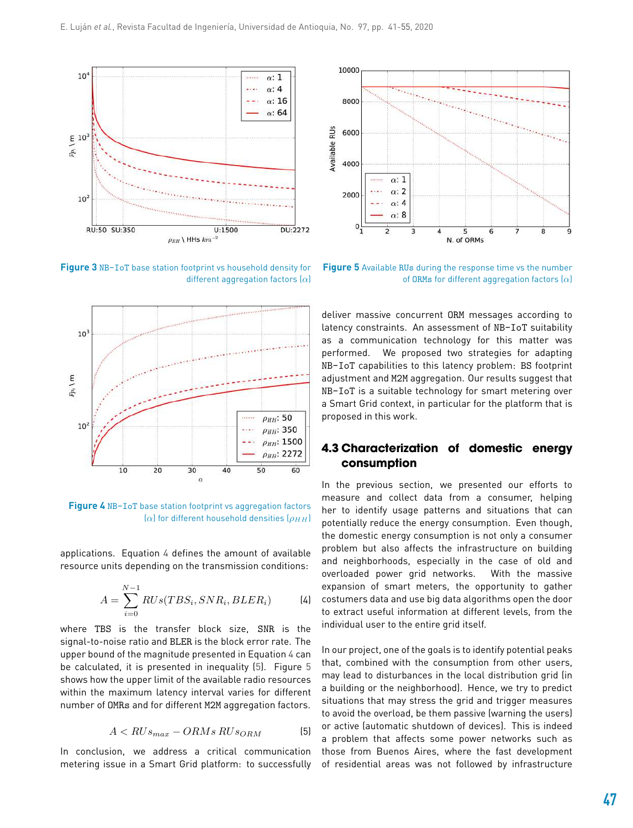<span id="page-6-1"></span>

**Figure 3** NB-IoT base station footprint vs household density for different aggregation factors (*α*)

<span id="page-6-2"></span>

**Figure 4** NB-IoT base station footprint vs aggregation factors  $(\alpha)$  for different household densities  $(\rho_{HH})$ 

<span id="page-6-3"></span>applications. Equation [4](#page-6-3) defines the amount of available resource units depending on the transmission conditions:

$$
A = \sum_{i=0}^{N-1} RUs(TBS_i, SNR_i, BLER_i)
$$
 (4)

where TBS is the transfer block size, SNR is the signal-to-noise ratio and BLER is the block error rate. The upper bound of the magnitude presented in Equation [4](#page-6-3) can be calculated, it is presented in inequality [\(5](#page-6-4)). Figure [5](#page-6-5) shows how the upper limit of the available radio resources within the maximum latency interval varies for different number of OMRs and for different M2M aggregation factors.

$$
A < RUs_{max} - ORMs\,RUs_{ORM} \tag{5}
$$

<span id="page-6-4"></span>In conclusion, we address a critical communication metering issue in a Smart Grid platform: to successfully

<span id="page-6-5"></span>

**Figure 5** Available RUs during the response time vs the number of ORMs for different aggregation factors (*α*)

deliver massive concurrent ORM messages according to latency constraints. An assessment of NB-IoT suitability as a communication technology for this matter was performed. We proposed two strategies for adapting NB-IoT capabilities to this latency problem: BS footprint adjustment and M2M aggregation. Our results suggest that NB-IoT is a suitable technology for smart metering over a Smart Grid context, in particular for the platform that is proposed in this work.

#### <span id="page-6-0"></span>**4.3 Characterization of domestic energy consumption**

In the previous section, we presented our efforts to measure and collect data from a consumer, helping her to identify usage patterns and situations that can potentially reduce the energy consumption. Even though, the domestic energy consumption is not only a consumer problem but also affects the infrastructure on building and neighborhoods, especially in the case of old and overloaded power grid networks. With the massive expansion of smart meters, the opportunity to gather costumers data and use big data algorithms open the door to extract useful information at different levels, from the individual user to the entire grid itself.

In our project, one of the goals is to identify potential peaks that, combined with the consumption from other users, may lead to disturbances in the local distribution grid (in a building or the neighborhood). Hence, we try to predict situations that may stress the grid and trigger measures to avoid the overload, be them passive (warning the users) or active (automatic shutdown of devices). This is indeed a problem that affects some power networks such as those from Buenos Aires, where the fast development of residential areas was not followed by infrastructure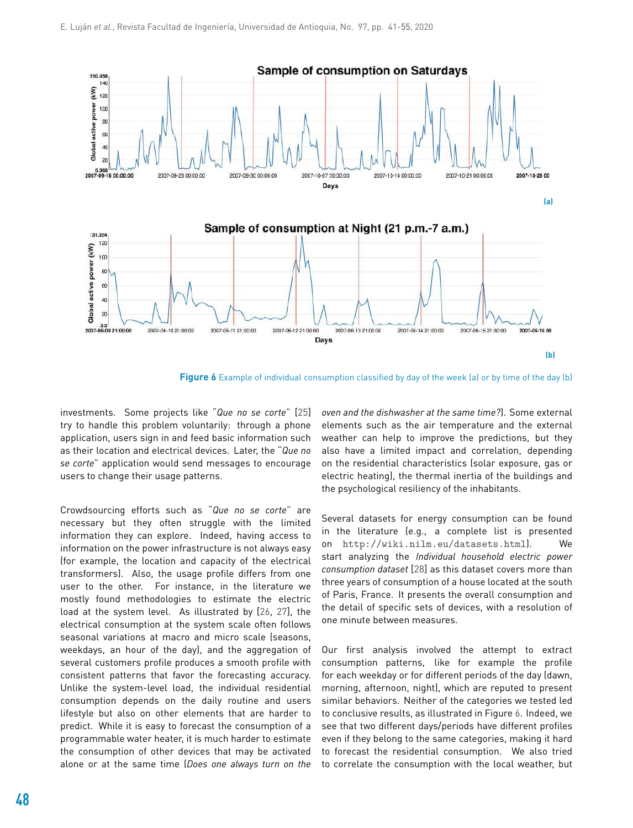<span id="page-7-0"></span>

**Figure 6** Example of individual consumption classified by day of the week (a) or by time of the day (b)

investments. Some projects like "*Que no se corte*" [\[25\]](#page-14-18) try to handle this problem voluntarily: through a phone application, users sign in and feed basic information such as their location and electrical devices. Later, the "*Que no se corte*" application would send messages to encourage users to change their usage patterns.

Crowdsourcing efforts such as "*Que no se corte*" are necessary but they often struggle with the limited information they can explore. Indeed, having access to information on the power infrastructure is not always easy (for example, the location and capacity of the electrical transformers). Also, the usage profile differs from one user to the other. For instance, in the literature we mostly found methodologies to estimate the electric load at the system level. As illustrated by [\[26](#page-14-19), [27\]](#page-14-20), the electrical consumption at the system scale often follows seasonal variations at macro and micro scale (seasons, weekdays, an hour of the day), and the aggregation of several customers profile produces a smooth profile with consistent patterns that favor the forecasting accuracy. Unlike the system-level load, the individual residential consumption depends on the daily routine and users lifestyle but also on other elements that are harder to predict. While it is easy to forecast the consumption of a programmable water heater, it is much harder to estimate the consumption of other devices that may be activated alone or at the same time (*Does one always turn on the* *oven and the dishwasher at the same time?*). Some external elements such as the air temperature and the external weather can help to improve the predictions, but they also have a limited impact and correlation, depending on the residential characteristics (solar exposure, gas or electric heating), the thermal inertia of the buildings and the psychological resiliency of the inhabitants.

Several datasets for energy consumption can be found in the literature (e.g., a complete list is presented on <http://wiki.nilm.eu/datasets.html>). We start analyzing the *Individual household electric power consumption dataset* [[28](#page-14-21)] as this dataset covers more than three years of consumption of a house located at the south of Paris, France. It presents the overall consumption and the detail of specific sets of devices, with a resolution of one minute between measures.

Our first analysis involved the attempt to extract consumption patterns, like for example the profile for each weekday or for different periods of the day (dawn, morning, afternoon, night), which are reputed to present similar behaviors. Neither of the categories we tested led to conclusive results, as illustrated in Figure [6](#page-7-0). Indeed, we see that two different days/periods have different profiles even if they belong to the same categories, making it hard to forecast the residential consumption. We also tried to correlate the consumption with the local weather, but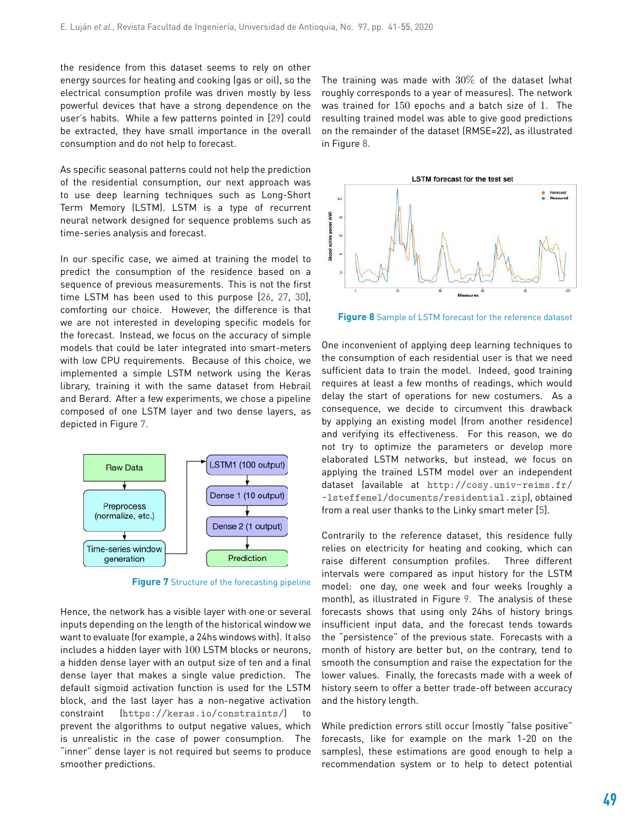the residence from this dataset seems to rely on other energy sources for heating and cooking (gas or oil), so the electrical consumption profile was driven mostly by less powerful devices that have a strong dependence on the user's habits. While a few patterns pointed in[[29](#page-14-22)] could be extracted, they have small importance in the overall consumption and do not help to forecast.

As specific seasonal patterns could not help the prediction of the residential consumption, our next approach was to use deep learning techniques such as Long-Short Term Memory (LSTM). LSTM is a type of recurrent neural network designed for sequence problems such as time-series analysis and forecast.

In our specific case, we aimed at training the model to predict the consumption of the residence based on a sequence of previous measurements. This is not the first time LSTM has been used to this purpose [\[26,](#page-14-19) [27](#page-14-20), [30](#page-14-23)], comforting our choice. However, the difference is that we are not interested in developing specific models for the forecast. Instead, we focus on the accuracy of simple models that could be later integrated into smart-meters with low CPU requirements. Because of this choice, we implemented a simple LSTM network using the Keras library, training it with the same dataset from Hebrail and Berard. After a few experiments, we chose a pipeline composed of one LSTM layer and two dense layers, as depicted in Figure [7.](#page-8-0)

<span id="page-8-0"></span>

**Figure 7** Structure of the forecasting pipeline

Hence, the network has a visible layer with one or several inputs depending on the length of the historical window we want to evaluate (for example, a 24hs windows with). It also includes a hidden layer with 100 LSTM blocks or neurons, a hidden dense layer with an output size of ten and a final dense layer that makes a single value prediction. The default sigmoid activation function is used for the LSTM block, and the last layer has a non-negative activation constraint (<https://keras.io/constraints/>) to prevent the algorithms to output negative values, which is unrealistic in the case of power consumption. The "inner" dense layer is not required but seems to produce smoother predictions.

The training was made with  $30\%$  of the dataset (what roughly corresponds to a year of measures). The network was trained for 150 epochs and a batch size of 1. The resulting trained model was able to give good predictions on the remainder of the dataset (RMSE=22), as illustrated in Figure [8.](#page-8-1)

<span id="page-8-1"></span>

**Figure 8** Sample of LSTM forecast for the reference dataset

One inconvenient of applying deep learning techniques to the consumption of each residential user is that we need sufficient data to train the model. Indeed, good training requires at least a few months of readings, which would delay the start of operations for new costumers. As a consequence, we decide to circumvent this drawback by applying an existing model (from another residence) and verifying its effectiveness. For this reason, we do not try to optimize the parameters or develop more elaborated LSTM networks, but instead, we focus on applying the trained LSTM model over an independent dataset (available at [http://cosy.univ-reims.fr/](http://cosy.univ-reims.fr/~lsteffenel/documents/residential.zip) [~lsteffenel/documents/residential.zip](http://cosy.univ-reims.fr/~lsteffenel/documents/residential.zip)), obtained from a real user thanks to the Linky smart meter [\[5\]](#page-13-4).

Contrarily to the reference dataset, this residence fully relies on electricity for heating and cooking, which can raise different consumption profiles. Three different intervals were compared as input history for the LSTM model: one day, one week and four weeks (roughly a month), as illustrated in Figure [9](#page-9-1). The analysis of these forecasts shows that using only 24hs of history brings insufficient input data, and the forecast tends towards the "persistence" of the previous state. Forecasts with a month of history are better but, on the contrary, tend to smooth the consumption and raise the expectation for the lower values. Finally, the forecasts made with a week of history seem to offer a better trade-off between accuracy and the history length.

While prediction errors still occur (mostly "false positive" forecasts, like for example on the mark 1-20 on the samples), these estimations are good enough to help a recommendation system or to help to detect potential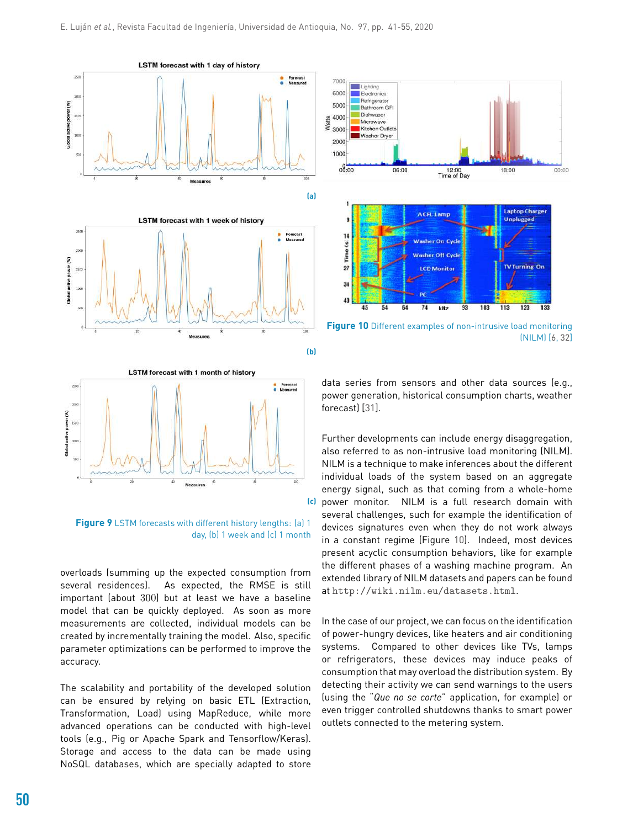<span id="page-9-1"></span>

<span id="page-9-2"></span>

**Figure 10** Different examples of non-intrusive load monitoring (NILM)[[6](#page-13-5), [32\]](#page-14-24)



**Figure 9** LSTM forecasts with different history lengths: (a) 1 day, (b) 1 week and (c) 1 month

overloads (summing up the expected consumption from several residences). As expected, the RMSE is still important (about 300) but at least we have a baseline model that can be quickly deployed. As soon as more measurements are collected, individual models can be created by incrementally training the model. Also, specific parameter optimizations can be performed to improve the accuracy.

The scalability and portability of the developed solution can be ensured by relying on basic ETL (Extraction, Transformation, Load) using MapReduce, while more advanced operations can be conducted with high-level tools (e.g., Pig or Apache Spark and Tensorflow/Keras). Storage and access to the data can be made using NoSQL databases, which are specially adapted to store

data series from sensors and other data sources (e.g., power generation, historical consumption charts, weather forecast) [\[31](#page-14-25)].

Further developments can include energy disaggregation, also referred to as non-intrusive load monitoring (NILM). NILM is a technique to make inferences about the different individual loads of the system based on an aggregate energy signal, such as that coming from a whole-home power monitor. NILM is a full research domain with several challenges, such for example the identification of devices signatures even when they do not work always in a constant regime (Figure [10\)](#page-9-2). Indeed, most devices present acyclic consumption behaviors, like for example the different phases of a washing machine program. An extended library of NILM datasets and papers can be found at <http://wiki.nilm.eu/datasets.html>.

<span id="page-9-0"></span>In the case of our project, we can focus on the identification of power-hungry devices, like heaters and air conditioning systems. Compared to other devices like TVs, lamps or refrigerators, these devices may induce peaks of consumption that may overload the distribution system. By detecting their activity we can send warnings to the users (using the "*Que no se corte*" application, for example) or even trigger controlled shutdowns thanks to smart power outlets connected to the metering system.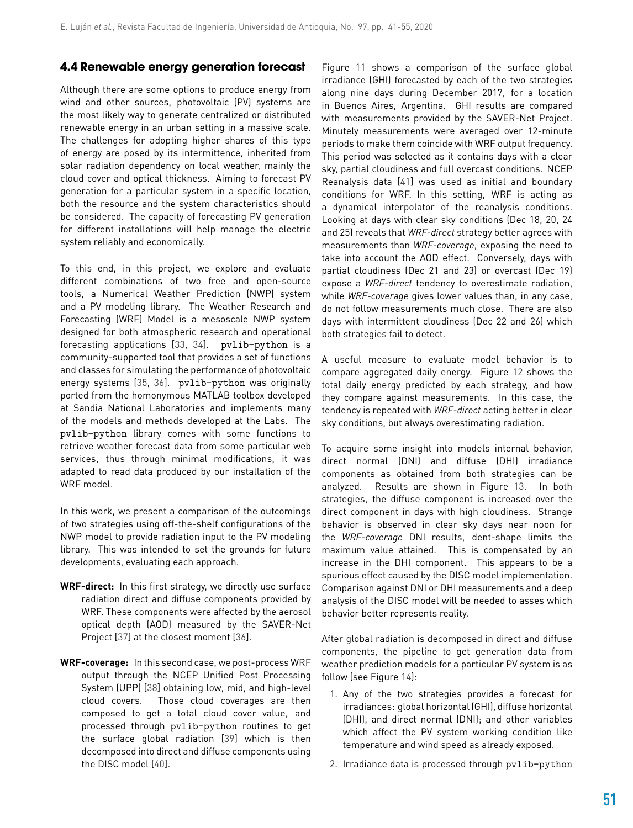#### **4.4 Renewable energy generation forecast**

Although there are some options to produce energy from wind and other sources, photovoltaic (PV) systems are the most likely way to generate centralized or distributed renewable energy in an urban setting in a massive scale. The challenges for adopting higher shares of this type of energy are posed by its intermittence, inherited from solar radiation dependency on local weather, mainly the cloud cover and optical thickness. Aiming to forecast PV generation for a particular system in a specific location, both the resource and the system characteristics should be considered. The capacity of forecasting PV generation for different installations will help manage the electric system reliably and economically.

To this end, in this project, we explore and evaluate different combinations of two free and open-source tools, a Numerical Weather Prediction (NWP) system and a PV modeling library. The Weather Research and Forecasting (WRF) Model is a mesoscale NWP system designed for both atmospheric research and operational forecasting applications [\[33,](#page-14-26) [34](#page-14-27)]. pvlib-python is a community-supported tool that provides a set of functions and classes for simulating the performance of photovoltaic energy systems[[35](#page-14-28), [36\]](#page-14-29). pvlib-python was originally ported from the homonymous MATLAB toolbox developed at Sandia National Laboratories and implements many of the models and methods developed at the Labs. The pvlib-python library comes with some functions to retrieve weather forecast data from some particular web services, thus through minimal modifications, it was adapted to read data produced by our installation of the WRF model.

In this work, we present a comparison of the outcomings of two strategies using off-the-shelf configurations of the NWP model to provide radiation input to the PV modeling library. This was intended to set the grounds for future developments, evaluating each approach.

- **WRF-direct:** In this first strategy, we directly use surface radiation direct and diffuse components provided by WRF. These components were affected by the aerosol optical depth (AOD) measured by the SAVER-Net Project[[37](#page-14-30)] at the closest moment[[36\]](#page-14-29).
- **WRF-coverage:** In this second case, we post-process WRF output through the NCEP Unified Post Processing System (UPP) [\[38](#page-14-31)] obtaining low, mid, and high-level cloud covers. Those cloud coverages are then composed to get a total cloud cover value, and processed through pvlib-python routines to get the surface global radiation [\[39\]](#page-14-32) which is then decomposed into direct and diffuse components using the DISC model [\[40\]](#page-14-33).

Figure [11](#page-11-0) shows a comparison of the surface global irradiance (GHI) forecasted by each of the two strategies along nine days during December 2017, for a location in Buenos Aires, Argentina. GHI results are compared with measurements provided by the SAVER-Net Project. Minutely measurements were averaged over 12-minute periods to make them coincide with WRF output frequency. This period was selected as it contains days with a clear sky, partial cloudiness and full overcast conditions. NCEP Reanalysis data[[41](#page-14-34)] was used as initial and boundary conditions for WRF. In this setting, WRF is acting as a dynamical interpolator of the reanalysis conditions. Looking at days with clear sky conditions (Dec 18, 20, 24 and 25) reveals that *WRF-direct* strategy better agrees with measurements than *WRF-coverage*, exposing the need to take into account the AOD effect. Conversely, days with partial cloudiness (Dec 21 and 23) or overcast (Dec 19) expose a *WRF-direct* tendency to overestimate radiation, while *WRF-coverage* gives lower values than, in any case, do not follow measurements much close. There are also days with intermittent cloudiness (Dec 22 and 26) which both strategies fail to detect.

A useful measure to evaluate model behavior is to compare aggregated daily energy. Figure [12](#page-11-1) shows the total daily energy predicted by each strategy, and how they compare against measurements. In this case, the tendency is repeated with *WRF-direct* acting better in clear sky conditions, but always overestimating radiation.

To acquire some insight into models internal behavior, direct normal (DNI) and diffuse (DHI) irradiance components as obtained from both strategies can be analyzed. Results are shown in Figure [13](#page-11-2). In both strategies, the diffuse component is increased over the direct component in days with high cloudiness. Strange behavior is observed in clear sky days near noon for the *WRF-coverage* DNI results, dent-shape limits the maximum value attained. This is compensated by an increase in the DHI component. This appears to be a spurious effect caused by the DISC model implementation. Comparison against DNI or DHI measurements and a deep analysis of the DISC model will be needed to asses which behavior better represents reality.

After global radiation is decomposed in direct and diffuse components, the pipeline to get generation data from weather prediction models for a particular PV system is as follow (see Figure [14\)](#page-12-1):

- 1. Any of the two strategies provides a forecast for irradiances: global horizontal (GHI), diffuse horizontal (DHI), and direct normal (DNI); and other variables which affect the PV system working condition like temperature and wind speed as already exposed.
- 2. Irradiance data is processed through pvlib-python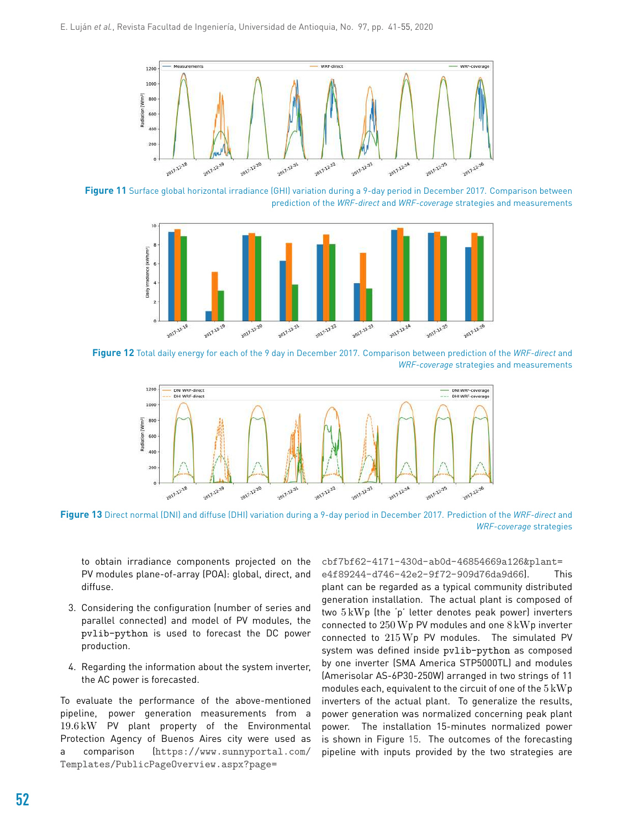<span id="page-11-0"></span>

<span id="page-11-1"></span>**Figure 11** Surface global horizontal irradiance (GHI) variation during a 9-day period in December 2017. Comparison between prediction of the *WRF-direct* and *WRF-coverage* strategies and measurements



<span id="page-11-2"></span>**Figure 12** Total daily energy for each of the 9 day in December 2017. Comparison between prediction of the *WRF-direct* and *WRF-coverage* strategies and measurements



**Figure 13** Direct normal (DNI) and diffuse (DHI) variation during a 9-day period in December 2017. Prediction of the *WRF-direct* and *WRF-coverage* strategies

to obtain irradiance components projected on the PV modules plane-of-array (POA): global, direct, and diffuse.

- 3. Considering the configuration (number of series and parallel connected) and model of PV modules, the pvlib-python is used to forecast the DC power production.
- 4. Regarding the information about the system inverter, the AC power is forecasted.

To evaluate the performance of the above-mentioned pipeline, power generation measurements from a 19*.*6 kW PV plant property of the Environmental Protection Agency of Buenos Aires city were used as a comparison ([https://www.sunnyportal.com/](https://www.sunnyportal.com/Templates/PublicPageOverview.aspx?page=cbf7bf62-4171-430d-ab0d-46854669a126&plant=e4f89244-d746-42e2-9f72-909d76da9d66) [Templates/PublicPageOverview.aspx?page=](https://www.sunnyportal.com/Templates/PublicPageOverview.aspx?page=cbf7bf62-4171-430d-ab0d-46854669a126&plant=e4f89244-d746-42e2-9f72-909d76da9d66)

[cbf7bf62-4171-430d-ab0d-46854669a126&plant=](https://www.sunnyportal.com/Templates/PublicPageOverview.aspx?page=cbf7bf62-4171-430d-ab0d-46854669a126&plant=e4f89244-d746-42e2-9f72-909d76da9d66) [e4f89244-d746-42e2-9f72-909d76da9d66](https://www.sunnyportal.com/Templates/PublicPageOverview.aspx?page=cbf7bf62-4171-430d-ab0d-46854669a126&plant=e4f89244-d746-42e2-9f72-909d76da9d66)). This plant can be regarded as a typical community distributed generation installation. The actual plant is composed of two 5 kWp (the 'p' letter denotes peak power) inverters connected to 250Wp PV modules and one 8 kWp inverter connected to 215Wp PV modules. The simulated PV system was defined inside pvlib-python as composed by one inverter (SMA America STP5000TL) and modules (Amerisolar AS-6P30-250W) arranged in two strings of 11 modules each, equivalent to the circuit of one of the  $5\,\mathrm{kWp}$ inverters of the actual plant. To generalize the results, power generation was normalized concerning peak plant power. The installation 15-minutes normalized power is shown in Figure [15.](#page-13-6) The outcomes of the forecasting pipeline with inputs provided by the two strategies are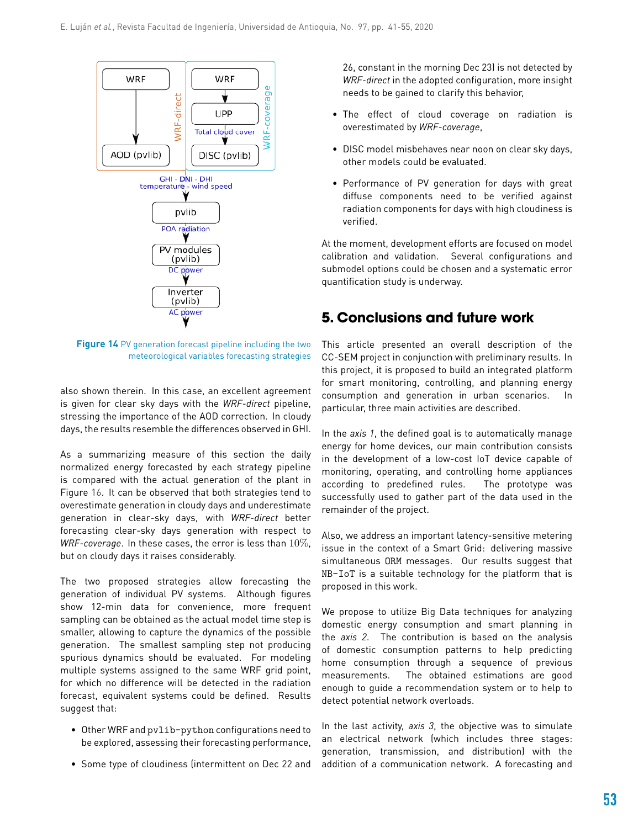<span id="page-12-1"></span>

**Figure 14** PV generation forecast pipeline including the two meteorological variables forecasting strategies

also shown therein. In this case, an excellent agreement is given for clear sky days with the *WRF-direct* pipeline, stressing the importance of the AOD correction. In cloudy days, the results resemble the differences observed in GHI.

As a summarizing measure of this section the daily normalized energy forecasted by each strategy pipeline is compared with the actual generation of the plant in Figure [16](#page-13-7). It can be observed that both strategies tend to overestimate generation in cloudy days and underestimate generation in clear-sky days, with *WRF-direct* better forecasting clear-sky days generation with respect to *WRF-coverage*. In these cases, the error is less than 10%, but on cloudy days it raises considerably.

The two proposed strategies allow forecasting the generation of individual PV systems. Although figures show 12-min data for convenience, more frequent sampling can be obtained as the actual model time step is smaller, allowing to capture the dynamics of the possible generation. The smallest sampling step not producing spurious dynamics should be evaluated. For modeling multiple systems assigned to the same WRF grid point, for which no difference will be detected in the radiation forecast, equivalent systems could be defined. Results suggest that:

- Other WRF and pvlib-python configurations need to be explored, assessing their forecasting performance,
- Some type of cloudiness (intermittent on Dec 22 and

26, constant in the morning Dec 23) is not detected by *WRF-direct* in the adopted configuration, more insight needs to be gained to clarify this behavior,

- The effect of cloud coverage on radiation is overestimated by *WRF-coverage*,
- DISC model misbehaves near noon on clear sky days, other models could be evaluated.
- Performance of PV generation for days with great diffuse components need to be verified against radiation components for days with high cloudiness is verified.

At the moment, development efforts are focused on model calibration and validation. Several configurations and submodel options could be chosen and a systematic error quantification study is underway.

## <span id="page-12-0"></span>**5. Conclusions and future work**

This article presented an overall description of the CC-SEM project in conjunction with preliminary results. In this project, it is proposed to build an integrated platform for smart monitoring, controlling, and planning energy consumption and generation in urban scenarios. In particular, three main activities are described.

In the *axis 1*, the defined goal is to automatically manage energy for home devices, our main contribution consists in the development of a low-cost IoT device capable of monitoring, operating, and controlling home appliances according to predefined rules. The prototype was successfully used to gather part of the data used in the remainder of the project.

Also, we address an important latency-sensitive metering issue in the context of a Smart Grid: delivering massive simultaneous ORM messages. Our results suggest that NB-IoT is a suitable technology for the platform that is proposed in this work.

We propose to utilize Big Data techniques for analyzing domestic energy consumption and smart planning in the *axis 2*. The contribution is based on the analysis of domestic consumption patterns to help predicting home consumption through a sequence of previous measurements. The obtained estimations are good enough to guide a recommendation system or to help to detect potential network overloads.

In the last activity, *axis 3*, the objective was to simulate an electrical network (which includes three stages: generation, transmission, and distribution) with the addition of a communication network. A forecasting and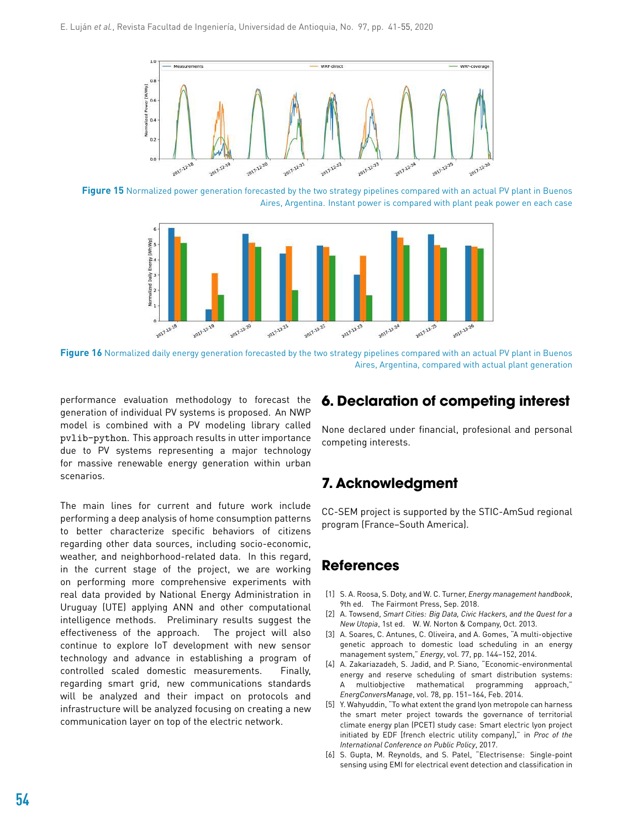<span id="page-13-6"></span>

<span id="page-13-7"></span>**Figure 15** Normalized power generation forecasted by the two strategy pipelines compared with an actual PV plant in Buenos Aires, Argentina. Instant power is compared with plant peak power en each case



**Figure 16** Normalized daily energy generation forecasted by the two strategy pipelines compared with an actual PV plant in Buenos Aires, Argentina, compared with actual plant generation

performance evaluation methodology to forecast the generation of individual PV systems is proposed. An NWP model is combined with a PV modeling library called pvlib-python. This approach results in utter importance due to PV systems representing a major technology for massive renewable energy generation within urban scenarios.

The main lines for current and future work include performing a deep analysis of home consumption patterns to better characterize specific behaviors of citizens regarding other data sources, including socio-economic, weather, and neighborhood-related data. In this regard, in the current stage of the project, we are working on performing more comprehensive experiments with real data provided by National Energy Administration in Uruguay (UTE) applying ANN and other computational intelligence methods. Preliminary results suggest the effectiveness of the approach. The project will also continue to explore IoT development with new sensor technology and advance in establishing a program of controlled scaled domestic measurements. Finally, regarding smart grid, new communications standards will be analyzed and their impact on protocols and infrastructure will be analyzed focusing on creating a new communication layer on top of the electric network.

## **6. Declaration of competing interest**

None declared under financial, profesional and personal competing interests.

### **7. Acknowledgment**

CC-SEM project is supported by the STIC-AmSud regional program (France–South America).

### **References**

- <span id="page-13-0"></span>[1] S. A. Roosa, S. Doty, and W. C. Turner, *Energy management handbook*, 9th ed. The Fairmont Press, Sep. 2018.
- <span id="page-13-1"></span>[2] A. Towsend, *Smart Cities: Big Data, Civic Hackers, and the Quest for a New Utopia*, 1st ed. W. W. Norton & Company, Oct. 2013.
- <span id="page-13-2"></span>[3] A. Soares, C. Antunes, C. Oliveira, and A. Gomes, "A multi-objective genetic approach to domestic load scheduling in an energy management system," *Energy*, vol. 77, pp. 144–152, 2014.
- <span id="page-13-3"></span>[4] A. Zakariazadeh, S. Jadid, and P. Siano, "Economic-environmental energy and reserve scheduling of smart distribution systems: A multiobjective mathematical programming approach," *EnergConversManage*, vol. 78, pp. 151–164, Feb. 2014.
- <span id="page-13-4"></span>[5] Y. Wahyuddin, "To what extent the grand lyon metropole can harness the smart meter project towards the governance of territorial climate energy plan (PCET) study case: Smart electric lyon project initiated by EDF [french electric utility company]," in *Proc of the International Conference on Public Policy*, 2017.
- <span id="page-13-5"></span>[6] S. Gupta, M. Reynolds, and S. Patel, "Electrisense: Single-point sensing using EMI for electrical event detection and classification in